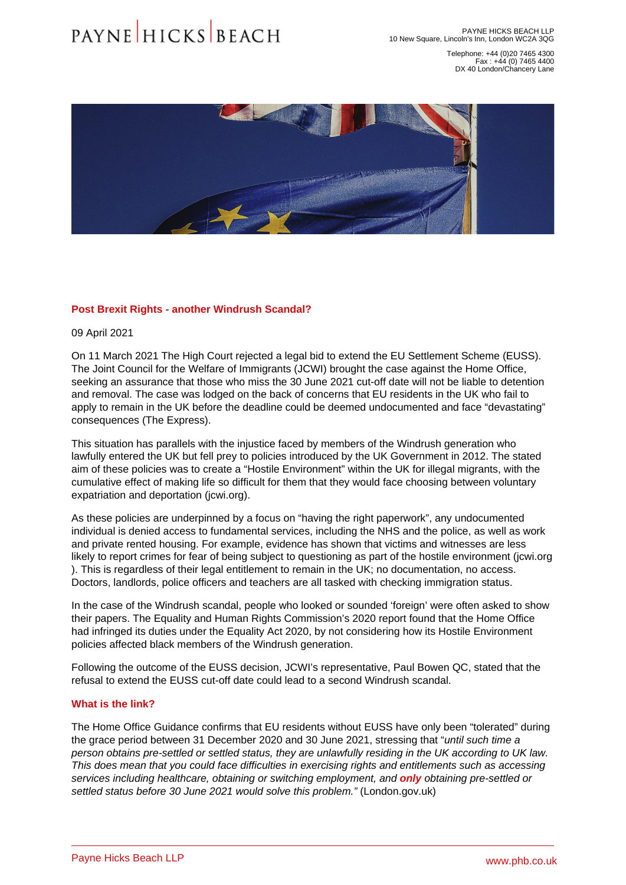Telephone: +44 (0)20 7465 4300 Fax : +44 (0) 7465 4400 DX 40 London/Chancery Lane

## Post Brexit Rights - another Windrush Scandal?

09 April 2021

On 11 March 2021 The High Court rejected a legal bid to extend the EU Settlement Scheme (EUSS). The Joint Council for the Welfare of Immigrants (JCWI) brought the case against the Home Office, seeking an assurance that those who miss the 30 June 2021 cut-off date will not be liable to detention and removal. The case was lodged on the back of concerns that EU residents in the UK who fail to apply to remain in the UK before the deadline could be deemed undocumented and face "devastating" consequences ([The Express\)](�� h t t p s : / / w w w . e x p r e s s . c o . u k / n e w s / p o l i t i c s / 1 4 0 9 0 2 5 / b r e x i t - n e w s - p r i t i - p a t e l - h i g h - c o u r t - e u - s e t t l e m e n t - s c h e m e).

This situation has parallels with the injustice faced by members of the Windrush generation who lawfully entered the UK but fell prey to policies introduced by the UK Government in 2012. The stated aim of these policies was to create a "Hostile Environment" within the UK for illegal migrants, with the cumulative effect of making life so difficult for them that they would face choosing between voluntary expatriation and deportation [\(jcwi.org\)](�� h t t p s : / / w w w . j c w i . o r g . u k / t h e - h o s t i l e - e n v i r o n m e n t - e x p l a i n e d).

As these policies are underpinned by a focus on "having the right paperwork", any undocumented individual is denied access to fundamental services, including the NHS and the police, as well as work and private rented housing. For example, evidence has shown that victims and witnesses are less likely to report crimes for fear of being subject to questioning as part of the hostile environment ([jcwi.org](�� h t t p s : / / w w w . j c w i . o r g . u k / t h e - h o s t i l e - e n v i r o n m e n t - e x p l a i n e d) ). This is regardless of their legal entitlement to remain in the UK; no documentation, no access. Doctors, landlords, police officers and teachers are all tasked with checking immigration status.

In the case of the Windrush scandal, people who looked or sounded 'foreign' were often asked to show their papers. The Equality and Human Rights Commission's 2020 report found that the Home Office had infringed its duties under the Equality Act 2020, by not considering how its Hostile Environment policies affected black members of the Windrush generation.

Following the outcome of the EUSS decision, JCWI's representative, Paul Bowen QC, stated that the refusal to extend the EUSS cut-off date could lead to a second Windrush scandal.

## What is the link?

The Home Office Guidance confirms that EU residents without EUSS have only been "tolerated" during the grace period between 31 December 2020 and 30 June 2021, stressing that "until such time a person obtains pre-settled or settled status, they are unlawfully residing in the UK according to UK law. This does mean that you could face difficulties in exercising rights and entitlements such as accessing services including healthcare, obtaining or switching employment, and only obtaining pre-settled or settled status before 30 June 2021 would solve this problem." ([London.gov.uk\)](�� h t t p s : / / w w w . l o n d o n . g o v . u k / w h a t - w e - d o / e u r o p e a n - l o n d o n e r s - h u b / e u s s - d e a d l i n e - a n d - g r a c e - p e r i o d)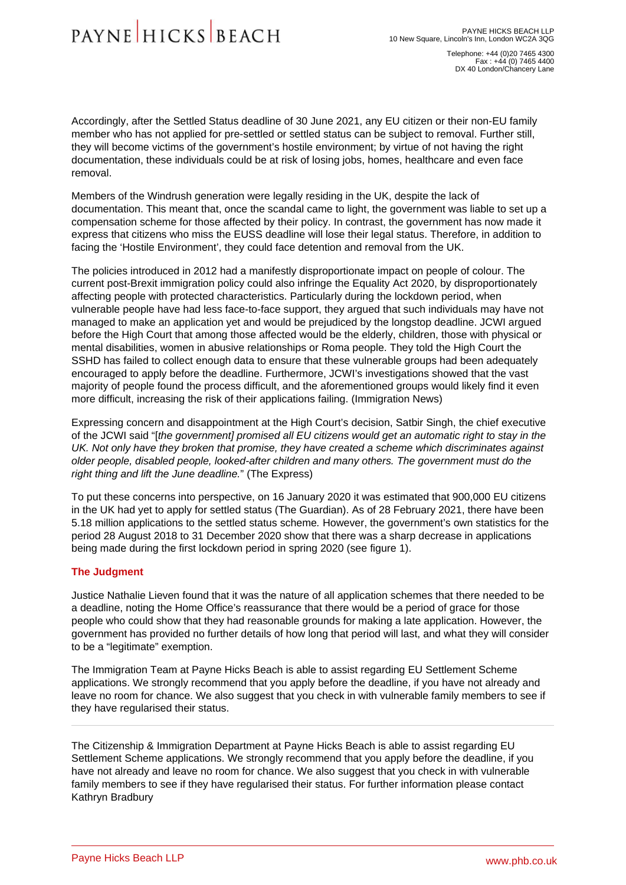Telephone: +44 (0)20 7465 4300 Fax : +44 (0) 7465 4400 DX 40 London/Chancery Lane

Accordingly, after the Settled Status deadline of 30 June 2021, any EU citizen or their non-EU family member who has not applied for pre-settled or settled status can be subject to removal. Further still, they will become victims of the government's hostile environment; by virtue of not having the right documentation, these individuals could be at risk of losing jobs, homes, healthcare and even face removal.

Members of the Windrush generation were legally residing in the UK, despite the lack of documentation. This meant that, once the scandal came to light, the government was liable to set up a compensation scheme for those affected by their policy. In contrast, the government has now made it express that citizens who miss the EUSS deadline will lose their legal status. Therefore, in addition to facing the 'Hostile Environment', they could face detention and removal from the UK.

The policies introduced in 2012 had a manifestly disproportionate impact on people of colour. The current post-Brexit immigration policy could also infringe the Equality Act 2020, by disproportionately affecting people with protected characteristics. Particularly during the lockdown period, when vulnerable people have had less face-to-face support, they argued that such individuals may have not managed to make an application yet and would be prejudiced by the longstop deadline. JCWI argued before the High Court that among those affected would be the elderly, children, those with physical or mental disabilities, women in abusive relationships or Roma people. They told the High Court the SSHD has failed to collect enough data to ensure that these vulnerable groups had been adequately encouraged to apply before the deadline. Furthermore, JCWI's investigations showed that the vast majority of people found the process difficult, and the aforementioned groups would likely find it even more difficult, increasing the risk of their applications failing. ([Immigration News\)](�� h t t p s : / / i m m i g r a t i o n n e w s . c o . u k / h i g h - c o u r t - r e j e c t s - l e g a l - b i d - t o - e x t e n d - e u - s e t t l e m e n t - s c h e m e /)

Expressing concern and disappointment at the High Court's decision, Satbir Singh, the chief executive of the JCWI said "[the government] promised all EU citizens would get an automatic right to stay in the UK. Not only have they broken that promise, they have created a scheme which discriminates against older people, disabled people, looked-after children and many others. The government must do the right thing and lift the June deadline." [\(The Express](�� h t t p s : / / w w w . e x p r e s s . c o . u k / n e w s / p o l i t i c s / 1 4 0 9 0 2 5 / b r e x i t - n e w s - p r i t i - p a t e l - h i g h - c o u r t - e u - s e t t l e m e n t - s c h e m e))

To put these concerns into perspective, on 16 January 2020 it was estimated that 900,000 EU citizens in the UK had yet to apply for settled status ([The Guardian\)](�� h t t p s : / / w w w . t h e g u a r d i a n . c o m / p o l i t i c s / 2 0 2 0 / j a n / 1 6 / n e a r l y - 1 - m i l l i o n - e u - c i t i z e n s - i n - u k - y e t - t o - a p p l y - f o r - s e t t l e d - s t a t u s). As of 28 February 2021, there have been 5.18 million applications to the settled status scheme. However, the government's own statistics for the period 28 August 2018 to 31 December 2020 show that there was a sharp decrease in applications being made during the first lockdown period in spring 2020 [\(see figure 1](�� h t t p s : / / w w w . g o v . u k / g o v e r n m e n t / s t a t i s t i c s / e u - s e t t l e m e n t - s c h e m e - q u a r t e r l y - s t a t i s t i c s - d e c e m b e r - 2 0 2 0 / e u - s e t t l e m e n t - s c h e m e - q u a r t e r l y - s t a t i s t i c s - d e c e m b e r - 2 0 2 0)).

## The Judgment

Justice Nathalie Lieven found that it was the nature of all application schemes that there needed to be a deadline, noting the Home Office's reassurance that there would be a period of grace for those people who could show that they had reasonable grounds for making a late application. However, the government has provided no further details of how long that period will last, and what they will consider to be a "legitimate" exemption.

The Immigration Team at Payne Hicks Beach is able to assist regarding EU Settlement Scheme applications. We strongly recommend that you apply before the deadline, if you have not already and leave no room for chance. We also suggest that you check in with vulnerable family members to see if they have regularised their status.

The [Citizenship & Immigration Department](�� h t t p s : / / w w w . p h b . c o . u k / o u r - s e r v i c e s / c i t i z e n s h i p - i m m i g r a t i o n) at Payne Hicks Beach is able to assist regarding EU Settlement Scheme applications. We strongly recommend that you apply before the deadline, if you have not already and leave no room for chance. We also suggest that you check in with vulnerable family members to see if they have regularised their status. For further information please contact [Kathryn Bradbury](�� h t t p s : / / w w w . p h b . c o . u k / o u r - p e o p l e / p r o f i l e / k a t h r y n - b r a d b u r y)